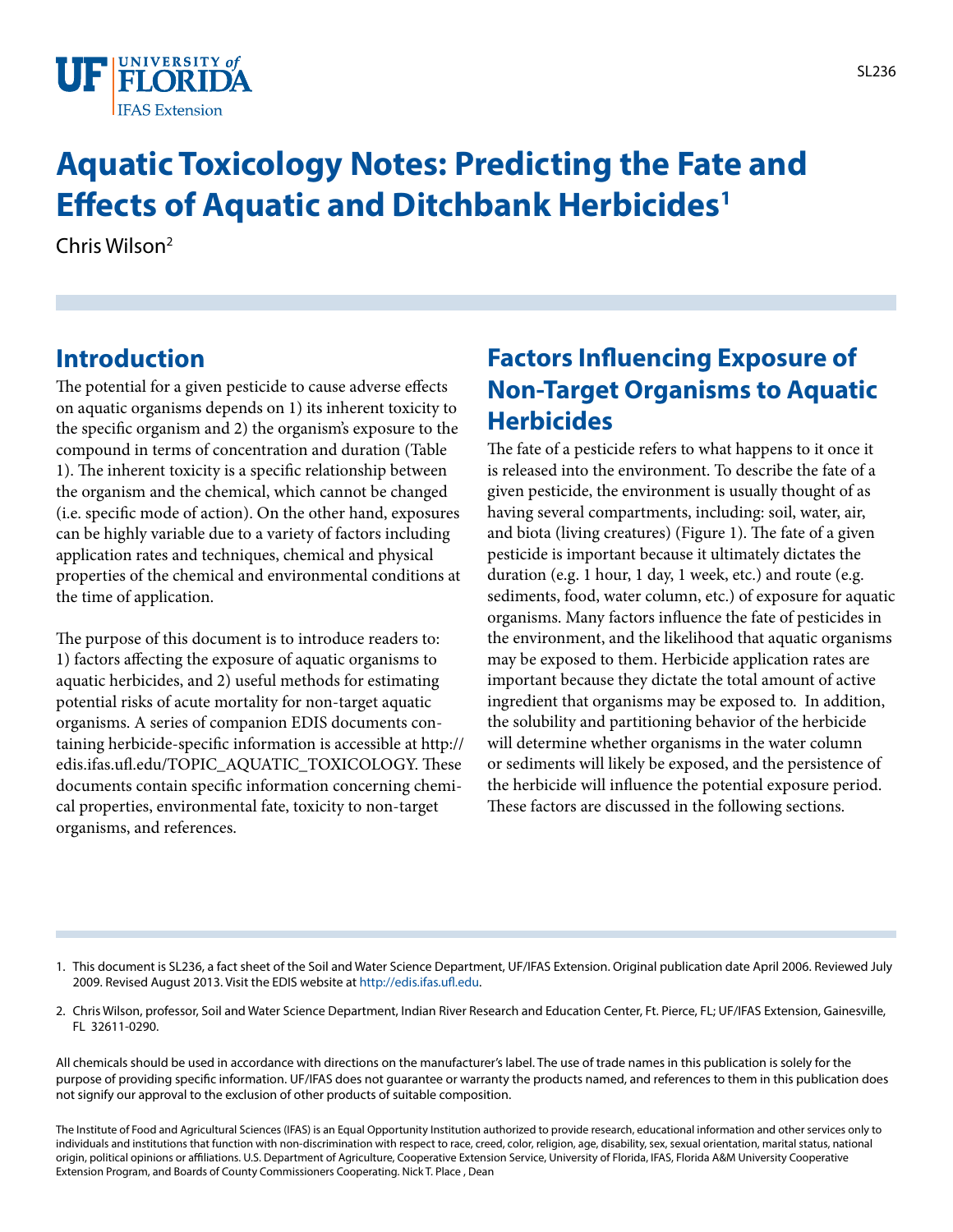

# **Aquatic Toxicology Notes: Predicting the Fate and Effects of Aquatic and Ditchbank Herbicides1**

Chris Wilson2

## **Introduction**

The potential for a given pesticide to cause adverse effects on aquatic organisms depends on 1) its inherent toxicity to the specific organism and 2) the organism's exposure to the compound in terms of concentration and duration (Table 1). The inherent toxicity is a specific relationship between the organism and the chemical, which cannot be changed (i.e. specific mode of action). On the other hand, exposures can be highly variable due to a variety of factors including application rates and techniques, chemical and physical properties of the chemical and environmental conditions at the time of application.

The purpose of this document is to introduce readers to: 1) factors affecting the exposure of aquatic organisms to aquatic herbicides, and 2) useful methods for estimating potential risks of acute mortality for non-target aquatic organisms. A series of companion EDIS documents containing herbicide-specific information is accessible at http:// edis.ifas.ufl.edu/TOPIC\_AQUATIC\_TOXICOLOGY. These documents contain specific information concerning chemical properties, environmental fate, toxicity to non-target organisms, and references.

## **Factors Influencing Exposure of Non-Target Organisms to Aquatic Herbicides**

The fate of a pesticide refers to what happens to it once it is released into the environment. To describe the fate of a given pesticide, the environment is usually thought of as having several compartments, including: soil, water, air, and biota (living creatures) (Figure 1). The fate of a given pesticide is important because it ultimately dictates the duration (e.g. 1 hour, 1 day, 1 week, etc.) and route (e.g. sediments, food, water column, etc.) of exposure for aquatic organisms. Many factors influence the fate of pesticides in the environment, and the likelihood that aquatic organisms may be exposed to them. Herbicide application rates are important because they dictate the total amount of active ingredient that organisms may be exposed to. In addition, the solubility and partitioning behavior of the herbicide will determine whether organisms in the water column or sediments will likely be exposed, and the persistence of the herbicide will influence the potential exposure period. These factors are discussed in the following sections.

- 1. This document is SL236, a fact sheet of the Soil and Water Science Department, UF/IFAS Extension. Original publication date April 2006. Reviewed July 2009. Revised August 2013. Visit the EDIS website at [http://edis.ifas.ufl.edu.](http://edis.ifas.ufl.edu)
- 2. Chris Wilson, professor, Soil and Water Science Department, Indian River Research and Education Center, Ft. Pierce, FL; UF/IFAS Extension, Gainesville, FL 32611-0290.

All chemicals should be used in accordance with directions on the manufacturer's label. The use of trade names in this publication is solely for the purpose of providing specific information. UF/IFAS does not guarantee or warranty the products named, and references to them in this publication does not signify our approval to the exclusion of other products of suitable composition.

The Institute of Food and Agricultural Sciences (IFAS) is an Equal Opportunity Institution authorized to provide research, educational information and other services only to individuals and institutions that function with non-discrimination with respect to race, creed, color, religion, age, disability, sex, sexual orientation, marital status, national origin, political opinions or affiliations. U.S. Department of Agriculture, Cooperative Extension Service, University of Florida, IFAS, Florida A&M University Cooperative Extension Program, and Boards of County Commissioners Cooperating. Nick T. Place , Dean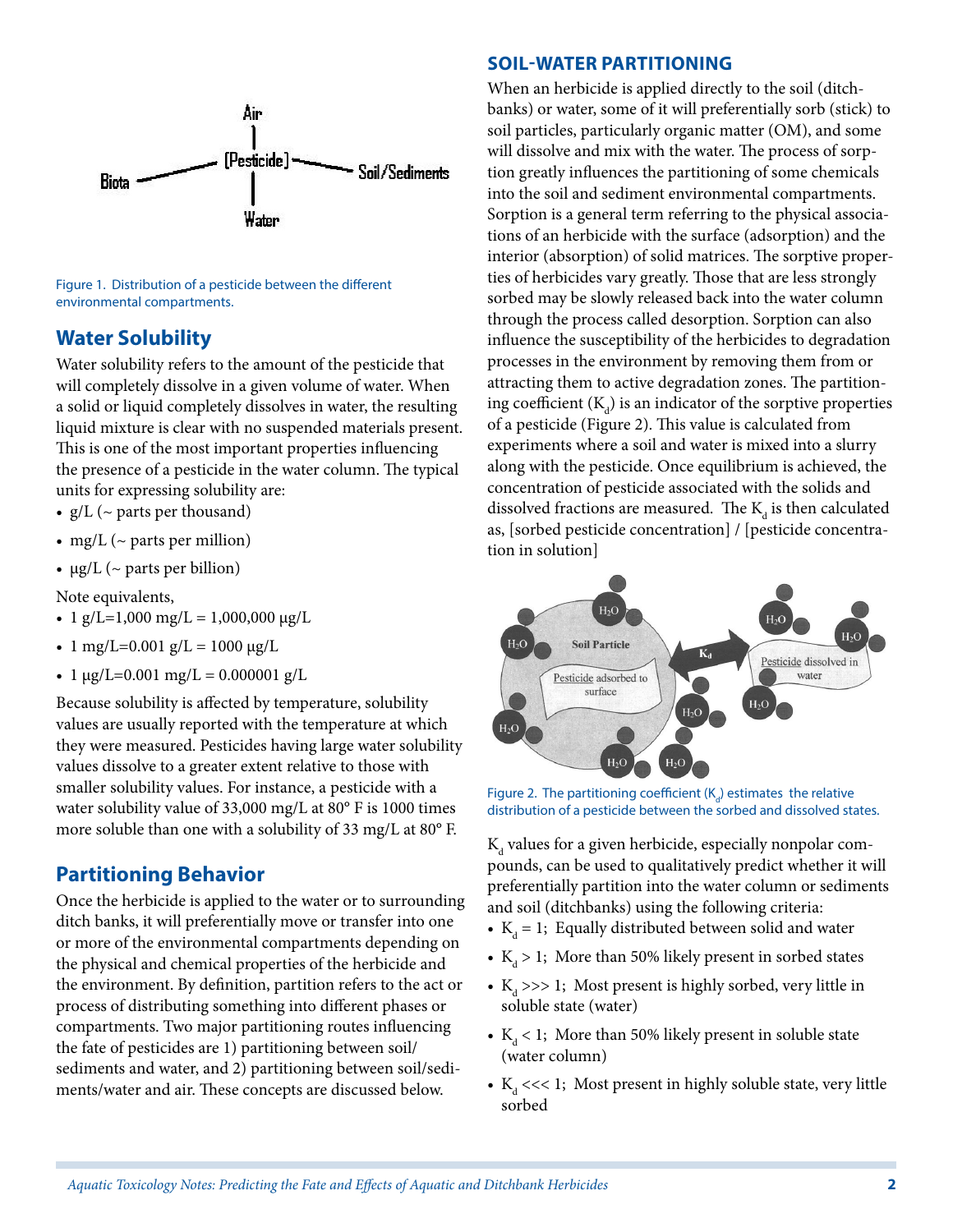

Figure 1. Distribution of a pesticide between the different environmental compartments.

### **Water Solubility**

Water solubility refers to the amount of the pesticide that will completely dissolve in a given volume of water. When a solid or liquid completely dissolves in water, the resulting liquid mixture is clear with no suspended materials present. This is one of the most important properties influencing the presence of a pesticide in the water column. The typical units for expressing solubility are:

- $g/L$  ( $\sim$  parts per thousand)
- mg/L ( $\sim$  parts per million)
- $\mu$ g/L (~ parts per billion)

Note equivalents,

- 1 g/L=1,000 mg/L = 1,000,000  $\mu$ g/L
- 1 mg/L=0.001 g/L = 1000  $\mu$ g/L
- 1  $\mu$ g/L=0.001 mg/L = 0.000001 g/L

Because solubility is affected by temperature, solubility values are usually reported with the temperature at which they were measured. Pesticides having large water solubility values dissolve to a greater extent relative to those with smaller solubility values. For instance, a pesticide with a water solubility value of 33,000 mg/L at 80° F is 1000 times more soluble than one with a solubility of 33 mg/L at 80° F.

## **Partitioning Behavior**

Once the herbicide is applied to the water or to surrounding ditch banks, it will preferentially move or transfer into one or more of the environmental compartments depending on the physical and chemical properties of the herbicide and the environment. By definition, partition refers to the act or process of distributing something into different phases or compartments. Two major partitioning routes influencing the fate of pesticides are 1) partitioning between soil/ sediments and water, and 2) partitioning between soil/sediments/water and air. These concepts are discussed below.

#### **Soil-Water Partitioning**

When an herbicide is applied directly to the soil (ditchbanks) or water, some of it will preferentially sorb (stick) to soil particles, particularly organic matter (OM), and some will dissolve and mix with the water. The process of sorption greatly influences the partitioning of some chemicals into the soil and sediment environmental compartments. Sorption is a general term referring to the physical associations of an herbicide with the surface (adsorption) and the interior (absorption) of solid matrices. The sorptive properties of herbicides vary greatly. Those that are less strongly sorbed may be slowly released back into the water column through the process called desorption. Sorption can also influence the susceptibility of the herbicides to degradation processes in the environment by removing them from or attracting them to active degradation zones. The partitioning coefficient  $(\mathrm{K}_{\mathrm{d}})$  is an indicator of the sorptive properties of a pesticide (Figure 2). This value is calculated from experiments where a soil and water is mixed into a slurry along with the pesticide. Once equilibrium is achieved, the concentration of pesticide associated with the solids and dissolved fractions are measured. The  $\mathrm{K}_{_{\mathrm{d}}}$  is then calculated as, [sorbed pesticide concentration] / [pesticide concentration in solution]



Figure 2. The partitioning coefficient  $(K_d)$  estimates the relative distribution of a pesticide between the sorbed and dissolved states.

 $\mathrm{K}_\mathrm{d}$  values for a given herbicide, especially nonpolar compounds, can be used to qualitatively predict whether it will preferentially partition into the water column or sediments and soil (ditchbanks) using the following criteria:

- $K_d = 1$ ; Equally distributed between solid and water
- $K_d > 1$ ; More than 50% likely present in sorbed states
- $K_d \gg 1$ ; Most present is highly sorbed, very little in soluble state (water)
- $K_d$  < 1; More than 50% likely present in soluble state (water column)
- $K_d \ll 1$ ; Most present in highly soluble state, very little sorbed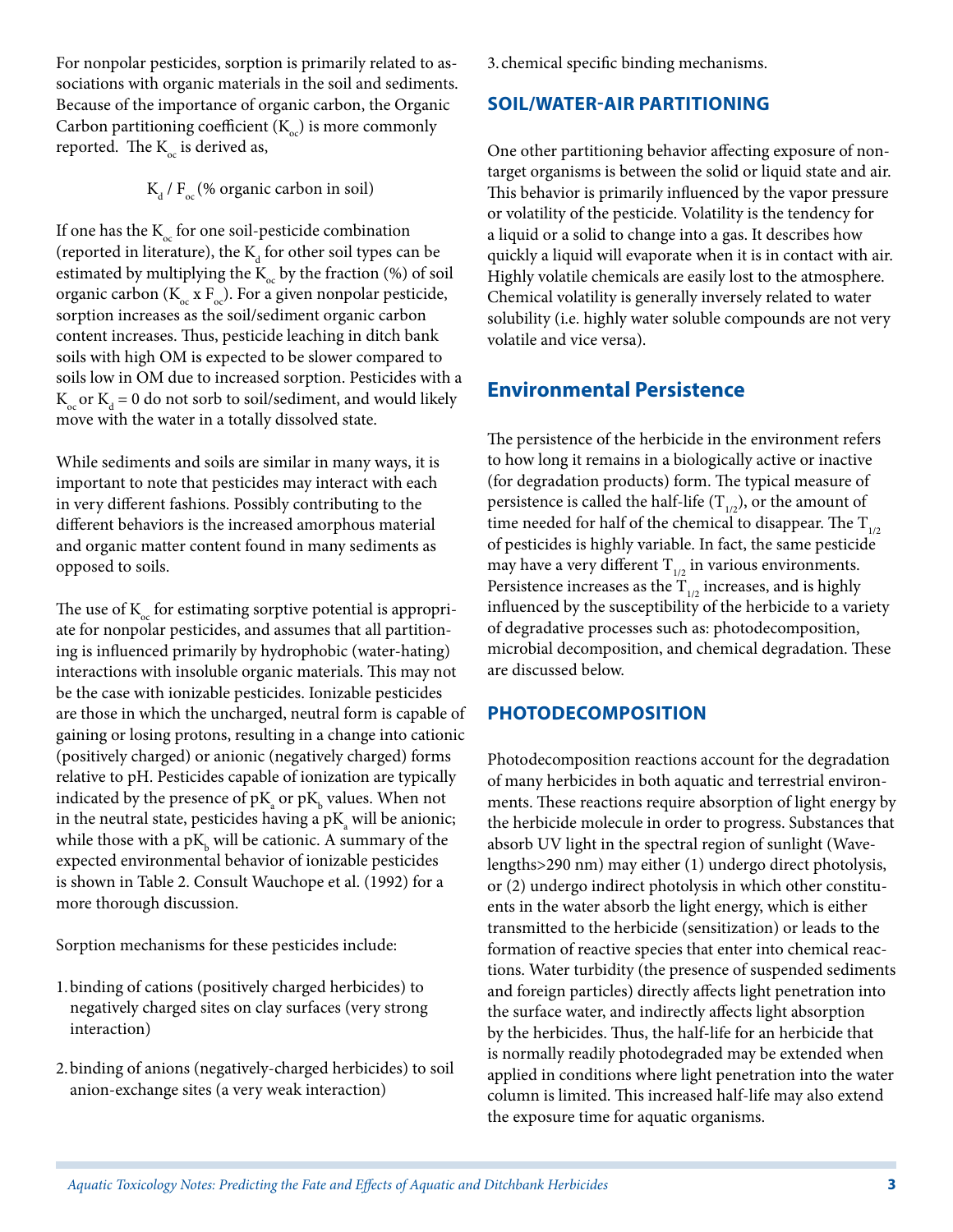For nonpolar pesticides, sorption is primarily related to associations with organic materials in the soil and sediments. Because of the importance of organic carbon, the Organic Carbon partitioning coefficient  $(K_{\alpha})$  is more commonly reported. The  $K_{\alpha}$  is derived as,

 $K_d / F_{oc}$  (% organic carbon in soil)

If one has the  $K_{\alpha}$  for one soil-pesticide combination (reported in literature), the  $\mathrm{K}_{\mathrm{d}}$  for other soil types can be estimated by multiplying the  $K_{oc}$  by the fraction (%) of soil organic carbon ( $K_{oc}$  x  $F_{oc}$ ). For a given nonpolar pesticide, sorption increases as the soil/sediment organic carbon content increases. Thus, pesticide leaching in ditch bank soils with high OM is expected to be slower compared to soils low in OM due to increased sorption. Pesticides with a  $K_{\text{oc}}$  or  $K_{\text{d}} = 0$  do not sorb to soil/sediment, and would likely move with the water in a totally dissolved state.

While sediments and soils are similar in many ways, it is important to note that pesticides may interact with each in very different fashions. Possibly contributing to the different behaviors is the increased amorphous material and organic matter content found in many sediments as opposed to soils.

The use of  $K_{\alpha}$  for estimating sorptive potential is appropriate for nonpolar pesticides, and assumes that all partitioning is influenced primarily by hydrophobic (water-hating) interactions with insoluble organic materials. This may not be the case with ionizable pesticides. Ionizable pesticides are those in which the uncharged, neutral form is capable of gaining or losing protons, resulting in a change into cationic (positively charged) or anionic (negatively charged) forms relative to pH. Pesticides capable of ionization are typically indicated by the presence of  $\rm pK_{a}$  or  $\rm pK_{b}$  values. When not in the neutral state, pesticides having a  $\rm{pK}_{a}$  will be anionic; while those with a p $\mathrm{K}_{\mathrm{b}}$  will be cationic. A summary of the expected environmental behavior of ionizable pesticides is shown in Table 2. Consult Wauchope et al. (1992) for a more thorough discussion.

Sorption mechanisms for these pesticides include:

- 1.binding of cations (positively charged herbicides) to negatively charged sites on clay surfaces (very strong interaction)
- 2.binding of anions (negatively-charged herbicides) to soil anion-exchange sites (a very weak interaction)

3. chemical specific binding mechanisms.

#### **Soil/Water-Air Partitioning**

One other partitioning behavior affecting exposure of nontarget organisms is between the solid or liquid state and air. This behavior is primarily influenced by the vapor pressure or volatility of the pesticide. Volatility is the tendency for a liquid or a solid to change into a gas. It describes how quickly a liquid will evaporate when it is in contact with air. Highly volatile chemicals are easily lost to the atmosphere. Chemical volatility is generally inversely related to water solubility (i.e. highly water soluble compounds are not very volatile and vice versa).

## **Environmental Persistence**

The persistence of the herbicide in the environment refers to how long it remains in a biologically active or inactive (for degradation products) form. The typical measure of persistence is called the half-life  $(T_{1/2})$ , or the amount of time needed for half of the chemical to disappear. The  $T_{1/2}$ of pesticides is highly variable. In fact, the same pesticide may have a very different  $T_{1/2}$  in various environments. Persistence increases as the  $T_{1/2}$  increases, and is highly influenced by the susceptibility of the herbicide to a variety of degradative processes such as: photodecomposition, microbial decomposition, and chemical degradation. These are discussed below.

#### **Photodecomposition**

Photodecomposition reactions account for the degradation of many herbicides in both aquatic and terrestrial environments. These reactions require absorption of light energy by the herbicide molecule in order to progress. Substances that absorb UV light in the spectral region of sunlight (Wavelengths>290 nm) may either (1) undergo direct photolysis, or (2) undergo indirect photolysis in which other constituents in the water absorb the light energy, which is either transmitted to the herbicide (sensitization) or leads to the formation of reactive species that enter into chemical reactions. Water turbidity (the presence of suspended sediments and foreign particles) directly affects light penetration into the surface water, and indirectly affects light absorption by the herbicides. Thus, the half-life for an herbicide that is normally readily photodegraded may be extended when applied in conditions where light penetration into the water column is limited. This increased half-life may also extend the exposure time for aquatic organisms.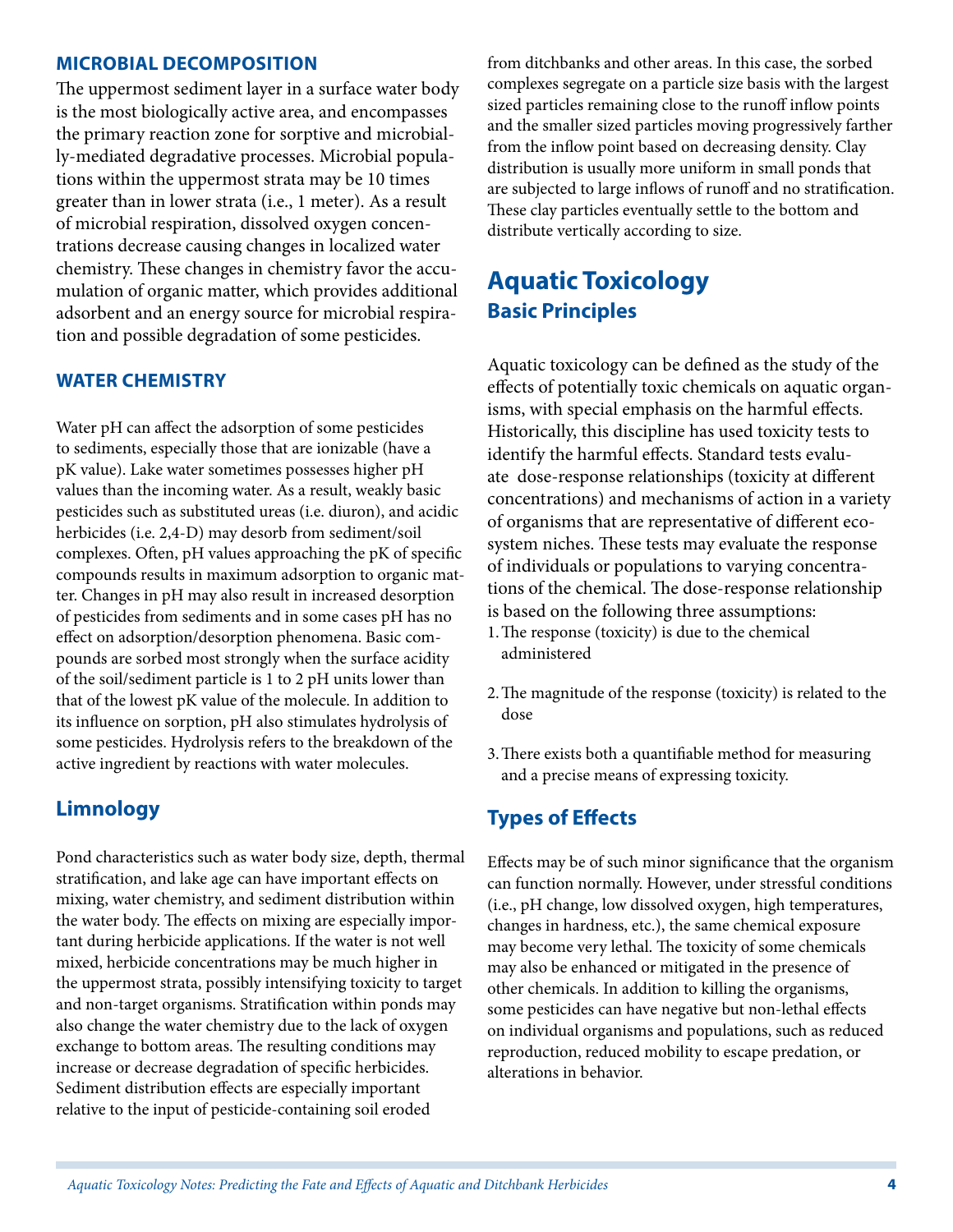#### **Microbial Decomposition**

The uppermost sediment layer in a surface water body is the most biologically active area, and encompasses the primary reaction zone for sorptive and microbially-mediated degradative processes. Microbial populations within the uppermost strata may be 10 times greater than in lower strata (i.e., 1 meter). As a result of microbial respiration, dissolved oxygen concentrations decrease causing changes in localized water chemistry. These changes in chemistry favor the accumulation of organic matter, which provides additional adsorbent and an energy source for microbial respiration and possible degradation of some pesticides.

#### **Water Chemistry**

Water pH can affect the adsorption of some pesticides to sediments, especially those that are ionizable (have a pK value). Lake water sometimes possesses higher pH values than the incoming water. As a result, weakly basic pesticides such as substituted ureas (i.e. diuron), and acidic herbicides (i.e. 2,4-D) may desorb from sediment/soil complexes. Often, pH values approaching the pK of specific compounds results in maximum adsorption to organic matter. Changes in pH may also result in increased desorption of pesticides from sediments and in some cases pH has no effect on adsorption/desorption phenomena. Basic compounds are sorbed most strongly when the surface acidity of the soil/sediment particle is 1 to 2 pH units lower than that of the lowest pK value of the molecule. In addition to its influence on sorption, pH also stimulates hydrolysis of some pesticides. Hydrolysis refers to the breakdown of the active ingredient by reactions with water molecules.

#### **Limnology**

Pond characteristics such as water body size, depth, thermal stratification, and lake age can have important effects on mixing, water chemistry, and sediment distribution within the water body. The effects on mixing are especially important during herbicide applications. If the water is not well mixed, herbicide concentrations may be much higher in the uppermost strata, possibly intensifying toxicity to target and non-target organisms. Stratification within ponds may also change the water chemistry due to the lack of oxygen exchange to bottom areas. The resulting conditions may increase or decrease degradation of specific herbicides. Sediment distribution effects are especially important relative to the input of pesticide-containing soil eroded

from ditchbanks and other areas. In this case, the sorbed complexes segregate on a particle size basis with the largest sized particles remaining close to the runoff inflow points and the smaller sized particles moving progressively farther from the inflow point based on decreasing density. Clay distribution is usually more uniform in small ponds that are subjected to large inflows of runoff and no stratification. These clay particles eventually settle to the bottom and distribute vertically according to size.

## **Aquatic Toxicology Basic Principles**

Aquatic toxicology can be defined as the study of the effects of potentially toxic chemicals on aquatic organisms, with special emphasis on the harmful effects. Historically, this discipline has used toxicity tests to identify the harmful effects. Standard tests evaluate dose-response relationships (toxicity at different concentrations) and mechanisms of action in a variety of organisms that are representative of different ecosystem niches. These tests may evaluate the response of individuals or populations to varying concentrations of the chemical. The dose-response relationship is based on the following three assumptions: 1.The response (toxicity) is due to the chemical

- administered
- 2.The magnitude of the response (toxicity) is related to the dose
- 3.There exists both a quantifiable method for measuring and a precise means of expressing toxicity.

#### **Types of Effects**

Effects may be of such minor significance that the organism can function normally. However, under stressful conditions (i.e., pH change, low dissolved oxygen, high temperatures, changes in hardness, etc.), the same chemical exposure may become very lethal. The toxicity of some chemicals may also be enhanced or mitigated in the presence of other chemicals. In addition to killing the organisms, some pesticides can have negative but non-lethal effects on individual organisms and populations, such as reduced reproduction, reduced mobility to escape predation, or alterations in behavior.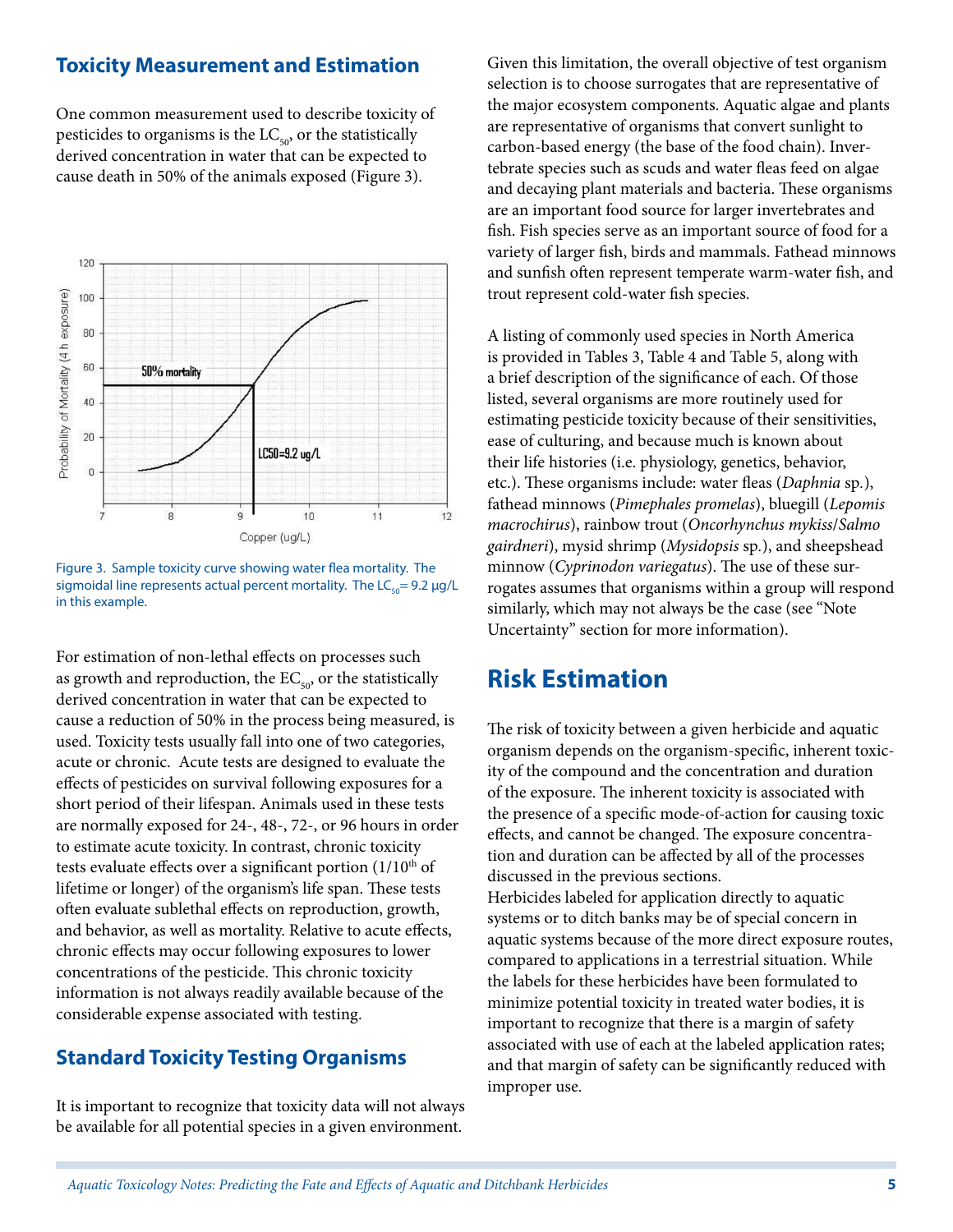### **Toxicity Measurement and Estimation**

One common measurement used to describe toxicity of pesticides to organisms is the  $LC_{50}$ , or the statistically derived concentration in water that can be expected to cause death in 50% of the animals exposed (Figure 3).



Figure 3. Sample toxicity curve showing water flea mortality. The sigmoidal line represents actual percent mortality. The  $LC_{50}$ = 9.2 µg/L in this example.

For estimation of non-lethal effects on processes such as growth and reproduction, the  $EC_{50}$ , or the statistically derived concentration in water that can be expected to cause a reduction of 50% in the process being measured, is used. Toxicity tests usually fall into one of two categories, acute or chronic. Acute tests are designed to evaluate the effects of pesticides on survival following exposures for a short period of their lifespan. Animals used in these tests are normally exposed for 24-, 48-, 72-, or 96 hours in order to estimate acute toxicity. In contrast, chronic toxicity tests evaluate effects over a significant portion  $(1/10<sup>th</sup>$  of lifetime or longer) of the organism's life span. These tests often evaluate sublethal effects on reproduction, growth, and behavior, as well as mortality. Relative to acute effects, chronic effects may occur following exposures to lower concentrations of the pesticide. This chronic toxicity information is not always readily available because of the considerable expense associated with testing.

## **Standard Toxicity Testing Organisms**

It is important to recognize that toxicity data will not always be available for all potential species in a given environment.

Given this limitation, the overall objective of test organism selection is to choose surrogates that are representative of the major ecosystem components. Aquatic algae and plants are representative of organisms that convert sunlight to carbon-based energy (the base of the food chain). Invertebrate species such as scuds and water fleas feed on algae and decaying plant materials and bacteria. These organisms are an important food source for larger invertebrates and fish. Fish species serve as an important source of food for a variety of larger fish, birds and mammals. Fathead minnows and sunfish often represent temperate warm-water fish, and trout represent cold-water fish species.

A listing of commonly used species in North America is provided in Tables 3, Table 4 and Table 5, along with a brief description of the significance of each. Of those listed, several organisms are more routinely used for estimating pesticide toxicity because of their sensitivities, ease of culturing, and because much is known about their life histories (i.e. physiology, genetics, behavior, etc.). These organisms include: water fleas (*Daphnia* sp*.*), fathead minnows (*Pimephales promelas*), bluegill (*Lepomis macrochirus*), rainbow trout (*Oncorhynchus mykiss*/*Salmo gairdneri*), mysid shrimp (*Mysidopsis* sp*.*), and sheepshead minnow (*Cyprinodon variegatus*). The use of these surrogates assumes that organisms within a group will respond similarly, which may not always be the case (see "Note Uncertainty" section for more information).

## **Risk Estimation**

The risk of toxicity between a given herbicide and aquatic organism depends on the organism-specific, inherent toxicity of the compound and the concentration and duration of the exposure. The inherent toxicity is associated with the presence of a specific mode-of-action for causing toxic effects, and cannot be changed. The exposure concentration and duration can be affected by all of the processes discussed in the previous sections.

Herbicides labeled for application directly to aquatic systems or to ditch banks may be of special concern in aquatic systems because of the more direct exposure routes, compared to applications in a terrestrial situation. While the labels for these herbicides have been formulated to minimize potential toxicity in treated water bodies, it is important to recognize that there is a margin of safety associated with use of each at the labeled application rates; and that margin of safety can be significantly reduced with improper use.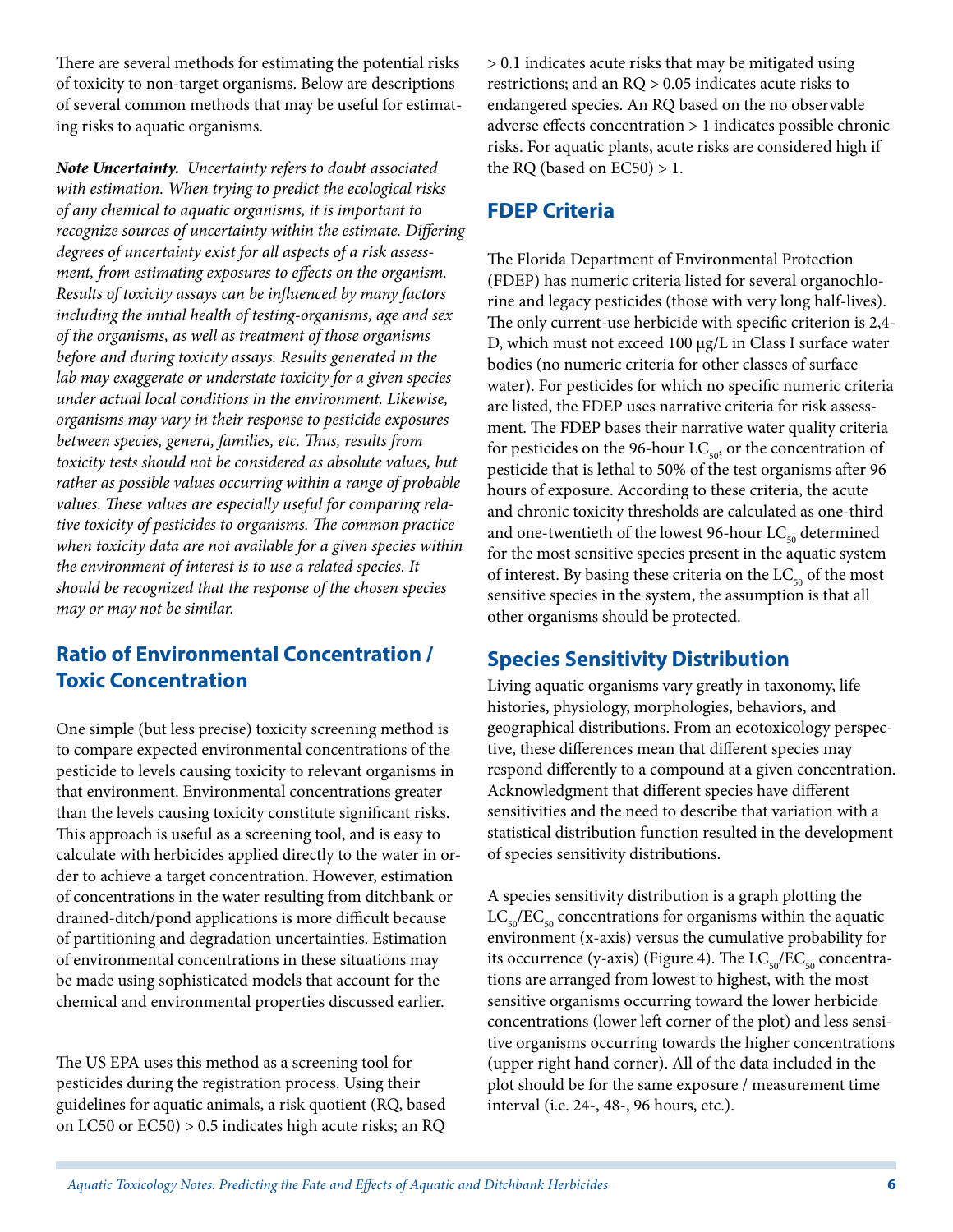There are several methods for estimating the potential risks of toxicity to non-target organisms. Below are descriptions of several common methods that may be useful for estimating risks to aquatic organisms.

*Note Uncertainty. Uncertainty refers to doubt associated with estimation. When trying to predict the ecological risks of any chemical to aquatic organisms, it is important to recognize sources of uncertainty within the estimate. Differing degrees of uncertainty exist for all aspects of a risk assessment, from estimating exposures to effects on the organism. Results of toxicity assays can be influenced by many factors including the initial health of testing-organisms, age and sex of the organisms, as well as treatment of those organisms before and during toxicity assays. Results generated in the lab may exaggerate or understate toxicity for a given species under actual local conditions in the environment. Likewise, organisms may vary in their response to pesticide exposures between species, genera, families, etc. Thus, results from toxicity tests should not be considered as absolute values, but rather as possible values occurring within a range of probable values. These values are especially useful for comparing relative toxicity of pesticides to organisms. The common practice when toxicity data are not available for a given species within the environment of interest is to use a related species. It should be recognized that the response of the chosen species may or may not be similar.*

## **Ratio of Environmental Concentration / Toxic Concentration**

One simple (but less precise) toxicity screening method is to compare expected environmental concentrations of the pesticide to levels causing toxicity to relevant organisms in that environment. Environmental concentrations greater than the levels causing toxicity constitute significant risks. This approach is useful as a screening tool, and is easy to calculate with herbicides applied directly to the water in order to achieve a target concentration. However, estimation of concentrations in the water resulting from ditchbank or drained-ditch/pond applications is more difficult because of partitioning and degradation uncertainties. Estimation of environmental concentrations in these situations may be made using sophisticated models that account for the chemical and environmental properties discussed earlier.

The US EPA uses this method as a screening tool for pesticides during the registration process. Using their guidelines for aquatic animals, a risk quotient (RQ, based on LC50 or EC50) > 0.5 indicates high acute risks; an RQ > 0.1 indicates acute risks that may be mitigated using restrictions; and an RQ > 0.05 indicates acute risks to endangered species. An RQ based on the no observable adverse effects concentration > 1 indicates possible chronic risks. For aquatic plants, acute risks are considered high if the RQ (based on  $EC50$ ) > 1.

## **FDEP Criteria**

The Florida Department of Environmental Protection (FDEP) has numeric criteria listed for several organochlorine and legacy pesticides (those with very long half-lives). The only current-use herbicide with specific criterion is 2,4- D, which must not exceed 100 µg/L in Class I surface water bodies (no numeric criteria for other classes of surface water). For pesticides for which no specific numeric criteria are listed, the FDEP uses narrative criteria for risk assessment. The FDEP bases their narrative water quality criteria for pesticides on the 96-hour  $LC_{50}$ , or the concentration of pesticide that is lethal to 50% of the test organisms after 96 hours of exposure. According to these criteria, the acute and chronic toxicity thresholds are calculated as one-third and one-twentieth of the lowest 96-hour  $LC_{50}$  determined for the most sensitive species present in the aquatic system of interest. By basing these criteria on the  $LC_{50}$  of the most sensitive species in the system, the assumption is that all other organisms should be protected.

## **Species Sensitivity Distribution**

Living aquatic organisms vary greatly in taxonomy, life histories, physiology, morphologies, behaviors, and geographical distributions. From an ecotoxicology perspective, these differences mean that different species may respond differently to a compound at a given concentration. Acknowledgment that different species have different sensitivities and the need to describe that variation with a statistical distribution function resulted in the development of species sensitivity distributions.

A species sensitivity distribution is a graph plotting the  $LC_{50}/EC_{50}$  concentrations for organisms within the aquatic environment (x-axis) versus the cumulative probability for its occurrence (y-axis) (Figure 4). The  $LC_{50}/EC_{50}$  concentrations are arranged from lowest to highest, with the most sensitive organisms occurring toward the lower herbicide concentrations (lower left corner of the plot) and less sensitive organisms occurring towards the higher concentrations (upper right hand corner). All of the data included in the plot should be for the same exposure / measurement time interval (i.e. 24-, 48-, 96 hours, etc.).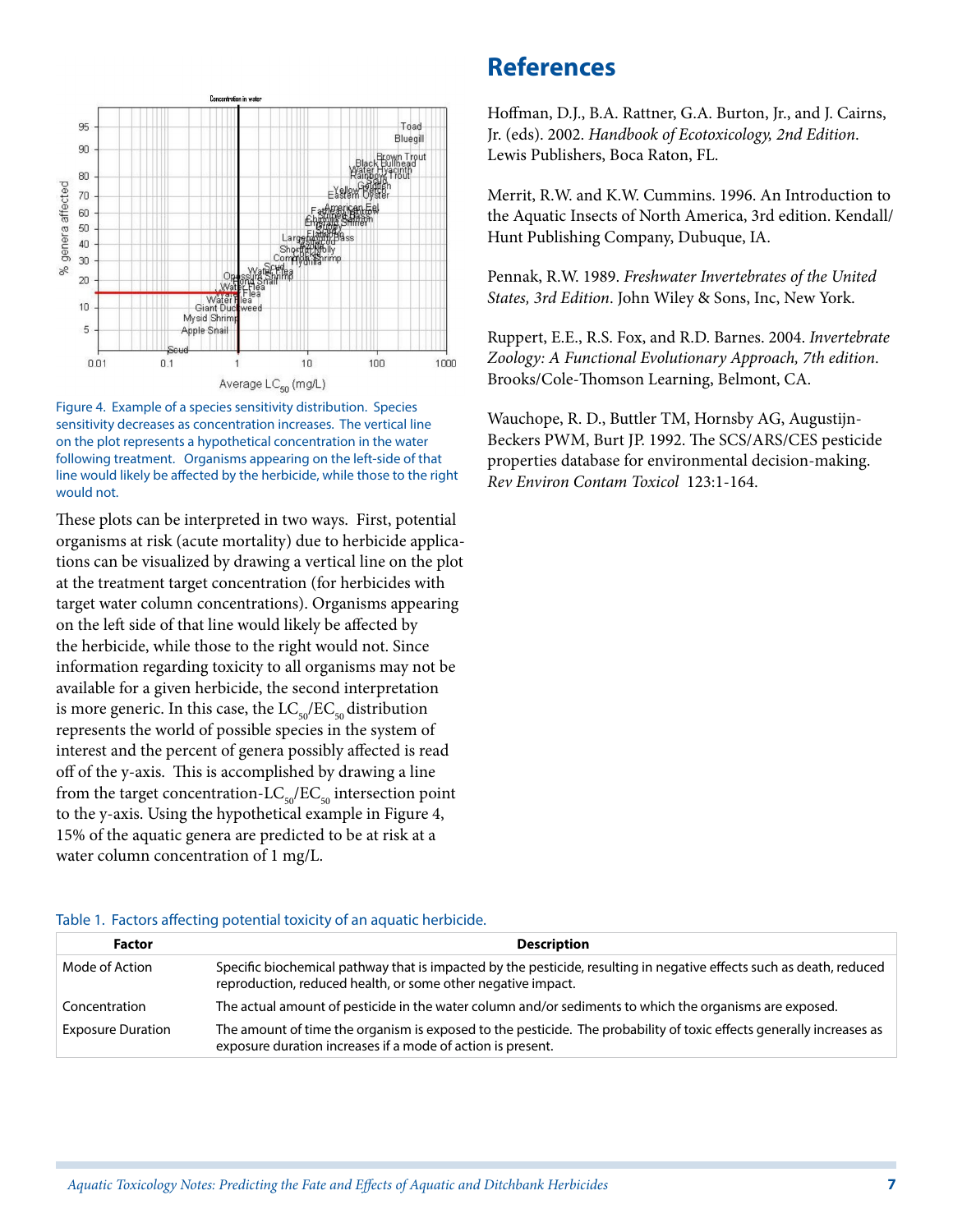

Figure 4. Example of a species sensitivity distribution. Species sensitivity decreases as concentration increases. The vertical line on the plot represents a hypothetical concentration in the water following treatment. Organisms appearing on the left-side of that line would likely be affected by the herbicide, while those to the right would not.

These plots can be interpreted in two ways. First, potential organisms at risk (acute mortality) due to herbicide applications can be visualized by drawing a vertical line on the plot at the treatment target concentration (for herbicides with target water column concentrations). Organisms appearing on the left side of that line would likely be affected by the herbicide, while those to the right would not. Since information regarding toxicity to all organisms may not be available for a given herbicide, the second interpretation is more generic. In this case, the  $LC_{50}/EC_{50}$  distribution represents the world of possible species in the system of interest and the percent of genera possibly affected is read off of the y-axis. This is accomplished by drawing a line from the target concentration- $LC_{50}/EC_{50}$  intersection point to the y-axis. Using the hypothetical example in Figure 4, 15% of the aquatic genera are predicted to be at risk at a water column concentration of 1 mg/L.

## **References**

Hoffman, D.J., B.A. Rattner, G.A. Burton, Jr., and J. Cairns, Jr. (eds). 2002. *Handbook of Ecotoxicology, 2nd Edition*. Lewis Publishers, Boca Raton, FL.

Merrit, R.W. and K.W. Cummins. 1996. An Introduction to the Aquatic Insects of North America, 3rd edition. Kendall/ Hunt Publishing Company, Dubuque, IA.

Pennak, R.W. 1989. *Freshwater Invertebrates of the United States, 3rd Edition*. John Wiley & Sons, Inc, New York.

Ruppert, E.E., R.S. Fox, and R.D. Barnes. 2004. *Invertebrate Zoology: A Functional Evolutionary Approach, 7th edition*. Brooks/Cole-Thomson Learning, Belmont, CA.

Wauchope, R. D., Buttler TM, Hornsby AG, Augustijn-Beckers PWM, Burt JP. 1992. The SCS/ARS/CES pesticide properties database for environmental decision-making. *Rev Environ Contam Toxicol* 123:1-164.

| <u>. which is a model in writing possibility to many or will meland its increased</u> |                                                                                                                                                                                      |  |
|---------------------------------------------------------------------------------------|--------------------------------------------------------------------------------------------------------------------------------------------------------------------------------------|--|
| <b>Factor</b>                                                                         | <b>Description</b>                                                                                                                                                                   |  |
| Mode of Action                                                                        | Specific biochemical pathway that is impacted by the pesticide, resulting in negative effects such as death, reduced<br>reproduction, reduced health, or some other negative impact. |  |
| Concentration                                                                         | The actual amount of pesticide in the water column and/or sediments to which the organisms are exposed.                                                                              |  |
| <b>Exposure Duration</b>                                                              | The amount of time the organism is exposed to the pesticide. The probability of toxic effects generally increases as<br>exposure duration increases if a mode of action is present.  |  |

#### Table 1. Factors affecting potential toxicity of an aquatic herbicide.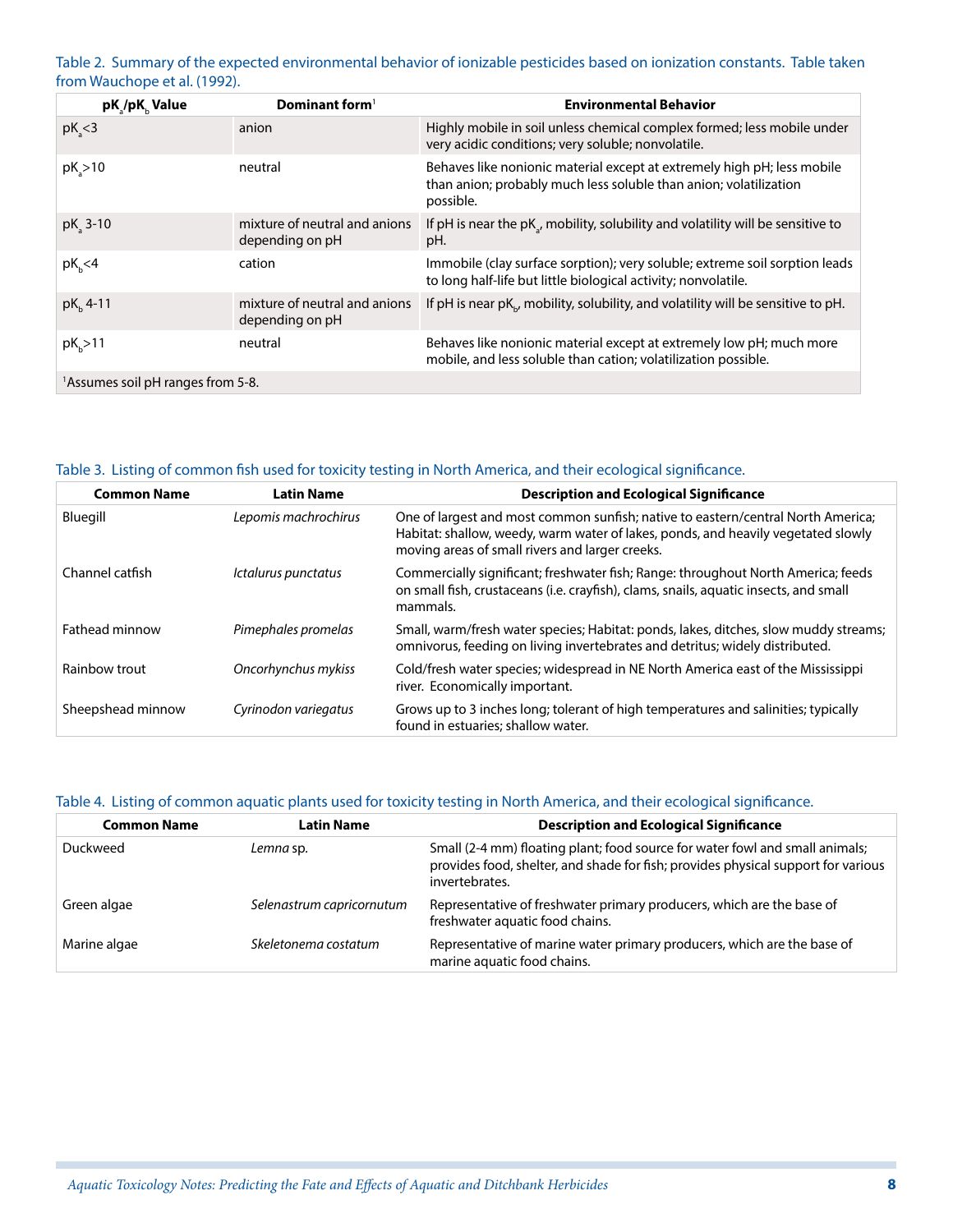Table 2. Summary of the expected environmental behavior of ionizable pesticides based on ionization constants. Table taken from Wauchope et al. (1992).

| pK /pK Value                                  | Dominant form <sup>1</sup>                       | <b>Environmental Behavior</b>                                                                                                                             |  |
|-----------------------------------------------|--------------------------------------------------|-----------------------------------------------------------------------------------------------------------------------------------------------------------|--|
| $pK_s < 3$                                    | anion                                            | Highly mobile in soil unless chemical complex formed; less mobile under<br>very acidic conditions; very soluble; nonvolatile.                             |  |
| $pK_{a}$ >10                                  | neutral                                          | Behaves like nonionic material except at extremely high pH; less mobile<br>than anion; probably much less soluble than anion; volatilization<br>possible. |  |
| $pK$ <sub>2</sub> 3-10                        | mixture of neutral and anions<br>depending on pH | If pH is near the $pKa$ , mobility, solubility and volatility will be sensitive to<br>pH.                                                                 |  |
| $pK_h$ <4                                     | cation                                           | Immobile (clay surface sorption); very soluble; extreme soil sorption leads<br>to long half-life but little biological activity; nonvolatile.             |  |
| $pK_h$ 4-11                                   | mixture of neutral and anions<br>depending on pH | If pH is near pK <sub>N</sub> , mobility, solubility, and volatility will be sensitive to pH.                                                             |  |
| $pKb$ >11                                     | neutral                                          | Behaves like nonionic material except at extremely low pH; much more<br>mobile, and less soluble than cation; volatilization possible.                    |  |
| <sup>1</sup> Assumes soil pH ranges from 5-8. |                                                  |                                                                                                                                                           |  |

#### Table 3. Listing of common fish used for toxicity testing in North America, and their ecological significance.

| <b>Common Name</b> | <b>Latin Name</b>    | <b>Description and Ecological Significance</b>                                                                                                                                                                           |
|--------------------|----------------------|--------------------------------------------------------------------------------------------------------------------------------------------------------------------------------------------------------------------------|
| Bluegill           | Lepomis machrochirus | One of largest and most common sunfish; native to eastern/central North America;<br>Habitat: shallow, weedy, warm water of lakes, ponds, and heavily vegetated slowly<br>moving areas of small rivers and larger creeks. |
| Channel catfish    | Ictalurus punctatus  | Commercially significant; freshwater fish; Range: throughout North America; feeds<br>on small fish, crustaceans (i.e. crayfish), clams, snails, aquatic insects, and small<br>mammals.                                   |
| Fathead minnow     | Pimephales promelas  | Small, warm/fresh water species; Habitat: ponds, lakes, ditches, slow muddy streams;<br>omnivorus, feeding on living invertebrates and detritus; widely distributed.                                                     |
| Rainbow trout      | Oncorhynchus mykiss  | Cold/fresh water species; widespread in NE North America east of the Mississippi<br>river. Economically important.                                                                                                       |
| Sheepshead minnow  | Cyrinodon variegatus | Grows up to 3 inches long; tolerant of high temperatures and salinities; typically<br>found in estuaries; shallow water.                                                                                                 |

#### Table 4. Listing of common aquatic plants used for toxicity testing in North America, and their ecological significance.

| <b>Common Name</b> | <b>Latin Name</b>         | <b>Description and Ecological Significance</b>                                                                                                                                      |
|--------------------|---------------------------|-------------------------------------------------------------------------------------------------------------------------------------------------------------------------------------|
| Duckweed           | Lemna sp.                 | Small (2-4 mm) floating plant; food source for water fowl and small animals;<br>provides food, shelter, and shade for fish; provides physical support for various<br>invertebrates. |
| Green algae        | Selenastrum capricornutum | Representative of freshwater primary producers, which are the base of<br>freshwater aquatic food chains.                                                                            |
| Marine algae       | Skeletonema costatum      | Representative of marine water primary producers, which are the base of<br>marine aquatic food chains.                                                                              |